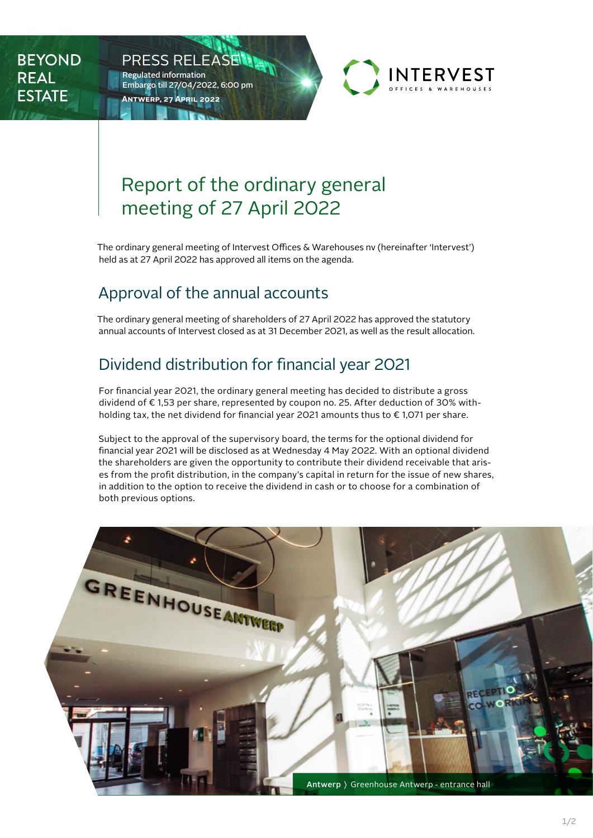**BEYOND REAL ESTATE** 



# Report of the ordinary general meeting of 27 April 2022

The ordinary general meeting of Intervest Offices & Warehouses nv (hereinafter 'Intervest') held as at 27 April 2022 has approved all items on the agenda.

### Approval of the annual accounts

PRESS RELEASE

Embargo till 27/04/2022, 6:00 pm

**Antwerp, 27 April 2022**

Regulated information

The ordinary general meeting of shareholders of 27 April 2022 has approved the statutory annual accounts of Intervest closed as at 31 December 2021, as well as the result allocation.

## Dividend distribution for financial year 2021

For financial year 2021, the ordinary general meeting has decided to distribute a gross dividend of € 1,53 per share, represented by coupon no. 25. After deduction of 30% withholding tax, the net dividend for financial year 2021 amounts thus to € 1,071 per share.

Subject to the approval of the supervisory board, the terms for the optional dividend for financial year 2021 will be disclosed as at Wednesday 4 May 2022. With an optional dividend the shareholders are given the opportunity to contribute their dividend receivable that arises from the profit distribution, in the company's capital in return for the issue of new shares, in addition to the option to receive the dividend in cash or to choose for a combination of both previous options.